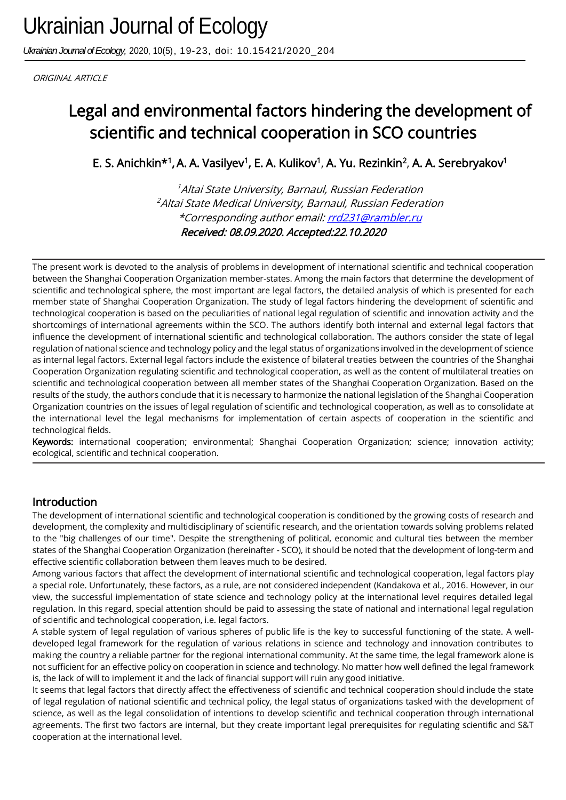*Ukrainian Journal of Ecology,* 2020, 10(5), 19-23, doi: 10.15421/2020\_204

ORIGINAL ARTICLE

# Legal and environmental factors hindering the development of scientific and technical cooperation in SCO countries

E. S. Anichkin\*<sup>1</sup>, A. A. Vasilyev<sup>1</sup>, E. A. Kulikov<sup>1</sup>, A. Yu. Rezinkin<sup>2</sup>, A. A. Serebryakov<sup>1</sup>

<sup>1</sup>Altai State University, Barnaul, Russian Federation <sup>2</sup> Altai State Medical University, Barnaul, Russian Federation \*Corresponding author email[: rrd231@rambler.ru](mailto:rrd231@rambler.ru) Received: 08.09.2020. Accepted:22.10.2020

The present work is devoted to the analysis of problems in development of international scientific and technical cooperation between the Shanghai Cooperation Organization member-states. Among the main factors that determine the development of scientific and technological sphere, the most important are legal factors, the detailed analysis of which is presented for each member state of Shanghai Cooperation Organization. The study of legal factors hindering the development of scientific and technological cooperation is based on the peculiarities of national legal regulation of scientific and innovation activity and the shortcomings of international agreements within the SCO. The authors identify both internal and external legal factors that influence the development of international scientific and technological collaboration. The authors consider the state of legal regulation of national science and technology policy and the legal status of organizations involved in the development of science as internal legal factors. External legal factors include the existence of bilateral treaties between the countries of the Shanghai Cooperation Organization regulating scientific and technological cooperation, as well as the content of multilateral treaties on scientific and technological cooperation between all member states of the Shanghai Cooperation Organization. Based on the results of the study, the authors conclude that it is necessary to harmonize the national legislation of the Shanghai Cooperation Organization countries on the issues of legal regulation of scientific and technological cooperation, as well as to consolidate at the international level the legal mechanisms for implementation of certain aspects of cooperation in the scientific and technological fields.

Keywords: international cooperation; environmental; Shanghai Cooperation Organization; science; innovation activity; ecological, scientific and technical cooperation.

## Introduction

Ī

The development of international scientific and technological cooperation is conditioned by the growing costs of research and development, the complexity and multidisciplinary of scientific research, and the orientation towards solving problems related to the "big challenges of our time". Despite the strengthening of political, economic and cultural ties between the member states of the Shanghai Cooperation Organization (hereinafter - SCO), it should be noted that the development of long-term and effective scientific collaboration between them leaves much to be desired.

Among various factors that affect the development of international scientific and technological cooperation, legal factors play a special role. Unfortunately, these factors, as a rule, are not considered independent (Kandakova et al., 2016. However, in our view, the successful implementation of state science and technology policy at the international level requires detailed legal regulation. In this regard, special attention should be paid to assessing the state of national and international legal regulation of scientific and technological cooperation, i.e. legal factors.

A stable system of legal regulation of various spheres of public life is the key to successful functioning of the state. A welldeveloped legal framework for the regulation of various relations in science and technology and innovation contributes to making the country a reliable partner for the regional international community. At the same time, the legal framework alone is not sufficient for an effective policy on cooperation in science and technology. No matter how well defined the legal framework is, the lack of will to implement it and the lack of financial support will ruin any good initiative.

It seems that legal factors that directly affect the effectiveness of scientific and technical cooperation should include the state of legal regulation of national scientific and technical policy, the legal status of organizations tasked with the development of science, as well as the legal consolidation of intentions to develop scientific and technical cooperation through international agreements. The first two factors are internal, but they create important legal prerequisites for regulating scientific and S&T cooperation at the international level.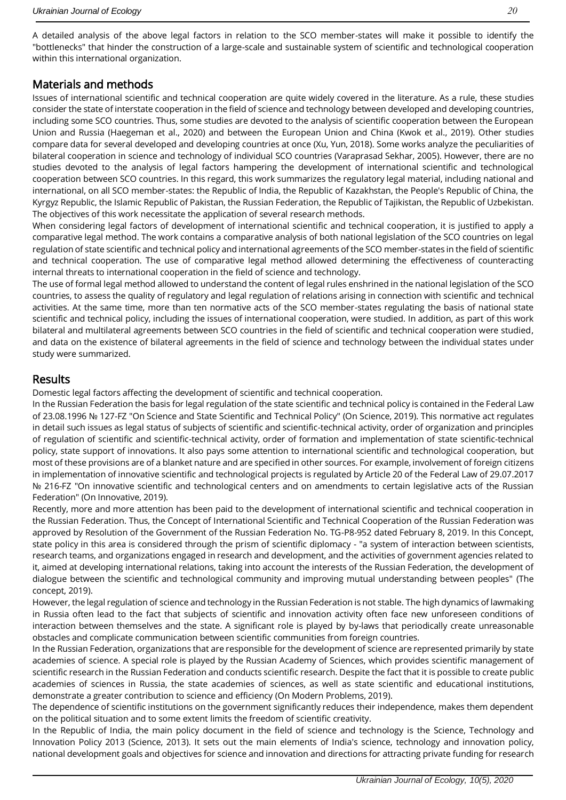A detailed analysis of the above legal factors in relation to the SCO member-states will make it possible to identify the "bottlenecks" that hinder the construction of a large-scale and sustainable system of scientific and technological cooperation within this international organization.

# Materials and methods

Issues of international scientific and technical cooperation are quite widely covered in the literature. As a rule, these studies consider the state of interstate cooperation in the field of science and technology between developed and developing countries, including some SCO countries. Thus, some studies are devoted to the analysis of scientific cooperation between the European Union and Russia (Haegeman et al., 2020) and between the European Union and China (Kwok et al., 2019). Other studies compare data for several developed and developing countries at once (Xu, Yun, 2018). Some works analyze the peculiarities of bilateral cooperation in science and technology of individual SCO countries (Varaprasad Sekhar, 2005). However, there are no studies devoted to the analysis of legal factors hampering the development of international scientific and technological cooperation between SCO countries. In this regard, this work summarizes the regulatory legal material, including national and international, on all SCO member-states: the Republic of India, the Republic of Kazakhstan, the People's Republic of China, the Kyrgyz Republic, the Islamic Republic of Pakistan, the Russian Federation, the Republic of Tajikistan, the Republic of Uzbekistan. The objectives of this work necessitate the application of several research methods.

When considering legal factors of development of international scientific and technical cooperation, it is justified to apply a comparative legal method. The work contains a comparative analysis of both national legislation of the SCO countries on legal regulation of state scientific and technical policy and international agreements of the SCO member-states in the field of scientific and technical cooperation. The use of comparative legal method allowed determining the effectiveness of counteracting internal threats to international cooperation in the field of science and technology.

The use of formal legal method allowed to understand the content of legal rules enshrined in the national legislation of the SCO countries, to assess the quality of regulatory and legal regulation of relations arising in connection with scientific and technical activities. At the same time, more than ten normative acts of the SCO member-states regulating the basis of national state scientific and technical policy, including the issues of international cooperation, were studied. In addition, as part of this work bilateral and multilateral agreements between SCO countries in the field of scientific and technical cooperation were studied, and data on the existence of bilateral agreements in the field of science and technology between the individual states under study were summarized.

## Results

Domestic legal factors affecting the development of scientific and technical cooperation.

In the Russian Federation the basis for legal regulation of the state scientific and technical policy is contained in the Federal Law of 23.08.1996 № 127-FZ "On Science and State Scientific and Technical Policy" (On Science, 2019). This normative act regulates in detail such issues as legal status of subjects of scientific and scientific-technical activity, order of organization and principles of regulation of scientific and scientific-technical activity, order of formation and implementation of state scientific-technical policy, state support of innovations. It also pays some attention to international scientific and technological cooperation, but most of these provisions are of a blanket nature and are specified in other sources. For example, involvement of foreign citizens in implementation of innovative scientific and technological projects is regulated by Article 20 of the Federal Law of 29.07.2017 № 216-FZ "On innovative scientific and technological centers and on amendments to certain legislative acts of the Russian Federation" (On Innovative, 2019).

Recently, more and more attention has been paid to the development of international scientific and technical cooperation in the Russian Federation. Thus, the Concept of International Scientific and Technical Cooperation of the Russian Federation was approved by Resolution of the Government of the Russian Federation No. TG-P8-952 dated February 8, 2019. In this Concept, state policy in this area is considered through the prism of scientific diplomacy - "a system of interaction between scientists, research teams, and organizations engaged in research and development, and the activities of government agencies related to it, aimed at developing international relations, taking into account the interests of the Russian Federation, the development of dialogue between the scientific and technological community and improving mutual understanding between peoples" (The concept, 2019).

However, the legal regulation of science and technology in the Russian Federation is not stable. The high dynamics of lawmaking in Russia often lead to the fact that subjects of scientific and innovation activity often face new unforeseen conditions of interaction between themselves and the state. A significant role is played by by-laws that periodically create unreasonable obstacles and complicate communication between scientific communities from foreign countries.

In the Russian Federation, organizations that are responsible for the development of science are represented primarily by state academies of science. A special role is played by the Russian Academy of Sciences, which provides scientific management of scientific research in the Russian Federation and conducts scientific research. Despite the fact that it is possible to create public academies of sciences in Russia, the state academies of sciences, as well as state scientific and educational institutions, demonstrate a greater contribution to science and efficiency (On Modern Problems, 2019).

The dependence of scientific institutions on the government significantly reduces their independence, makes them dependent on the political situation and to some extent limits the freedom of scientific creativity.

In the Republic of India, the main policy document in the field of science and technology is the Science, Technology and Innovation Policy 2013 (Science, 2013). It sets out the main elements of India's science, technology and innovation policy, national development goals and objectives for science and innovation and directions for attracting private funding for research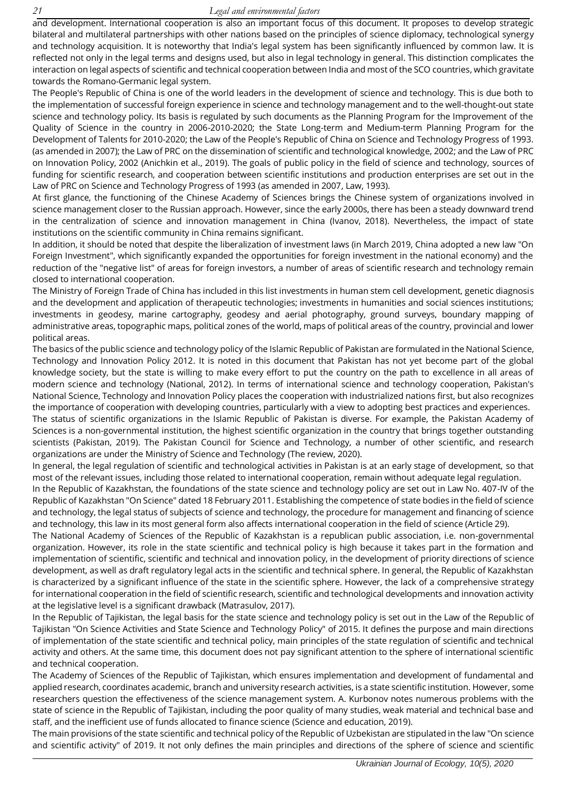and development. International cooperation is also an important focus of this document. It proposes to develop strategic bilateral and multilateral partnerships with other nations based on the principles of science diplomacy, technological synergy and technology acquisition. It is noteworthy that India's legal system has been significantly influenced by common law. It is reflected not only in the legal terms and designs used, but also in legal technology in general. This distinction complicates the interaction on legal aspects of scientific and technical cooperation between India and most of the SCO countries, which gravitate towards the Romano-Germanic legal system.

The People's Republic of China is one of the world leaders in the development of science and technology. This is due both to the implementation of successful foreign experience in science and technology management and to the well-thought-out state science and technology policy. Its basis is regulated by such documents as the Planning Program for the Improvement of the Quality of Science in the country in 2006-2010-2020; the State Long-term and Medium-term Planning Program for the Development of Talents for 2010-2020; the Law of the People's Republic of China on Science and Technology Progress of 1993. (as amended in 2007); the Law of PRC on the dissemination of scientific and technological knowledge, 2002; and the Law of PRC on Innovation Policy, 2002 (Anichkin et al., 2019). The goals of public policy in the field of science and technology, sources of funding for scientific research, and cooperation between scientific institutions and production enterprises are set out in the Law of PRC on Science and Technology Progress of 1993 (as amended in 2007, Law, 1993).

At first glance, the functioning of the Chinese Academy of Sciences brings the Chinese system of organizations involved in science management closer to the Russian approach. However, since the early 2000s, there has been a steady downward trend in the centralization of science and innovation management in China (Ivanov, 2018). Nevertheless, the impact of state institutions on the scientific community in China remains significant.

In addition, it should be noted that despite the liberalization of investment laws (in March 2019, China adopted a new law "On Foreign Investment", which significantly expanded the opportunities for foreign investment in the national economy) and the reduction of the "negative list" of areas for foreign investors, a number of areas of scientific research and technology remain closed to international cooperation.

The Ministry of Foreign Trade of China has included in this list investments in human stem cell development, genetic diagnosis and the development and application of therapeutic technologies; investments in humanities and social sciences institutions; investments in geodesy, marine cartography, geodesy and aerial photography, ground surveys, boundary mapping of administrative areas, topographic maps, political zones of the world, maps of political areas of the country, provincial and lower political areas.

The basics of the public science and technology policy of the Islamic Republic of Pakistan are formulated in the National Science, Technology and Innovation Policy 2012. It is noted in this document that Pakistan has not yet become part of the global knowledge society, but the state is willing to make every effort to put the country on the path to excellence in all areas of modern science and technology (National, 2012). In terms of international science and technology cooperation, Pakistan's National Science, Technology and Innovation Policy places the cooperation with industrialized nations first, but also recognizes the importance of cooperation with developing countries, particularly with a view to adopting best practices and experiences.

The status of scientific organizations in the Islamic Republic of Pakistan is diverse. For example, the Pakistan Academy of Sciences is a non-governmental institution, the highest scientific organization in the country that brings together outstanding scientists (Pakistan, 2019). The Pakistan Council for Science and Technology, a number of other scientific, and research organizations are under the Ministry of Science and Technology (The review, 2020).

In general, the legal regulation of scientific and technological activities in Pakistan is at an early stage of development, so that most of the relevant issues, including those related to international cooperation, remain without adequate legal regulation.

In the Republic of Kazakhstan, the foundations of the state science and technology policy are set out in Law No. 407-IV of the Republic of Kazakhstan "On Science" dated 18 February 2011. Establishing the competence of state bodies in the field of science and technology, the legal status of subjects of science and technology, the procedure for management and financing of science and technology, this law in its most general form also affects international cooperation in the field of science (Article 29).

The National Academy of Sciences of the Republic of Kazakhstan is a republican public association, i.e. non-governmental organization. However, its role in the state scientific and technical policy is high because it takes part in the formation and implementation of scientific, scientific and technical and innovation policy, in the development of priority directions of science development, as well as draft regulatory legal acts in the scientific and technical sphere. In general, the Republic of Kazakhstan is characterized by a significant influence of the state in the scientific sphere. However, the lack of a comprehensive strategy for international cooperation in the field of scientific research, scientific and technological developments and innovation activity at the legislative level is a significant drawback (Matrasulov, 2017).

In the Republic of Tajikistan, the legal basis for the state science and technology policy is set out in the Law of the Republic of Tajikistan "On Science Activities and State Science and Technology Policy" of 2015. It defines the purpose and main directions of implementation of the state scientific and technical policy, main principles of the state regulation of scientific and technical activity and others. At the same time, this document does not pay significant attention to the sphere of international scientific and technical cooperation.

The Academy of Sciences of the Republic of Tajikistan, which ensures implementation and development of fundamental and applied research, coordinates academic, branch and university research activities, is a state scientific institution. However, some researchers question the effectiveness of the science management system. A. Kurbonov notes numerous problems with the state of science in the Republic of Tajikistan, including the poor quality of many studies, weak material and technical base and staff, and the inefficient use of funds allocated to finance science (Science and education, 2019).

The main provisions of the state scientific and technical policy of the Republic of Uzbekistan are stipulated in the law "On science and scientific activity" of 2019. It not only defines the main principles and directions of the sphere of science and scientific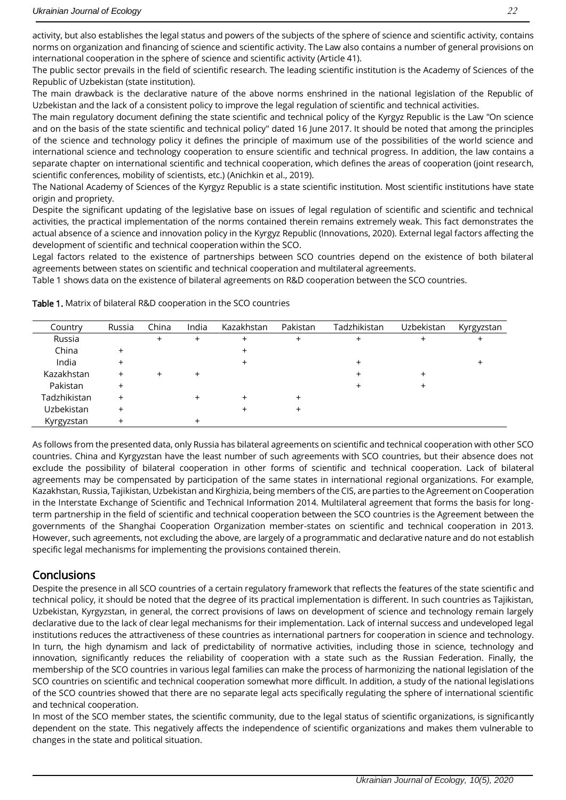activity, but also establishes the legal status and powers of the subjects of the sphere of science and scientific activity, contains norms on organization and financing of science and scientific activity. The Law also contains a number of general provisions on international cooperation in the sphere of science and scientific activity (Article 41).

The public sector prevails in the field of scientific research. The leading scientific institution is the Academy of Sciences of the Republic of Uzbekistan (state institution).

The main drawback is the declarative nature of the above norms enshrined in the national legislation of the Republic of Uzbekistan and the lack of a consistent policy to improve the legal regulation of scientific and technical activities.

The main regulatory document defining the state scientific and technical policy of the Kyrgyz Republic is the Law "On science and on the basis of the state scientific and technical policy" dated 16 June 2017. It should be noted that among the principles of the science and technology policy it defines the principle of maximum use of the possibilities of the world science and international science and technology cooperation to ensure scientific and technical progress. In addition, the law contains a separate chapter on international scientific and technical cooperation, which defines the areas of cooperation (joint research, scientific conferences, mobility of scientists, etc.) (Anichkin et al., 2019).

The National Academy of Sciences of the Kyrgyz Republic is a state scientific institution. Most scientific institutions have state origin and propriety.

Despite the significant updating of the legislative base on issues of legal regulation of scientific and scientific and technical activities, the practical implementation of the norms contained therein remains extremely weak. This fact demonstrates the actual absence of a science and innovation policy in the Kyrgyz Republic (Innovations, 2020). External legal factors affecting the development of scientific and technical cooperation within the SCO.

Legal factors related to the existence of partnerships between SCO countries depend on the existence of both bilateral agreements between states on scientific and technical cooperation and multilateral agreements.

Table 1 shows data on the existence of bilateral agreements on R&D cooperation between the SCO countries.

| Country      | Russia | China | India | Kazakhstan | Pakistan | Tadzhikistan | Uzbekistan | Kyrgyzstan |
|--------------|--------|-------|-------|------------|----------|--------------|------------|------------|
| Russia       |        |       |       |            |          |              |            |            |
| China        |        |       |       |            |          |              |            |            |
| India        |        |       |       |            |          |              |            |            |
| Kazakhstan   |        |       |       |            |          |              |            |            |
| Pakistan     |        |       |       |            |          |              |            |            |
| Tadzhikistan |        |       |       |            |          |              |            |            |
| Uzbekistan   |        |       |       |            |          |              |            |            |
| Kyrgyzstan   |        |       |       |            |          |              |            |            |

Table 1. Matrix of bilateral R&D cooperation in the SCO countries

As follows from the presented data, only Russia has bilateral agreements on scientific and technical cooperation with other SCO countries. China and Kyrgyzstan have the least number of such agreements with SCO countries, but their absence does not exclude the possibility of bilateral cooperation in other forms of scientific and technical cooperation. Lack of bilateral agreements may be compensated by participation of the same states in international regional organizations. For example, Kazakhstan, Russia, Tajikistan, Uzbekistan and Kirghizia, being members of the CIS, are parties to the Agreement on Cooperation in the Interstate Exchange of Scientific and Technical Information 2014. Multilateral agreement that forms the basis for longterm partnership in the field of scientific and technical cooperation between the SCO countries is the Agreement between the governments of the Shanghai Cooperation Organization member-states on scientific and technical cooperation in 2013. However, such agreements, not excluding the above, are largely of a programmatic and declarative nature and do not establish specific legal mechanisms for implementing the provisions contained therein.

# **Conclusions**

Despite the presence in all SCO countries of a certain regulatory framework that reflects the features of the state scientific and technical policy, it should be noted that the degree of its practical implementation is different. In such countries as Tajikistan, Uzbekistan, Kyrgyzstan, in general, the correct provisions of laws on development of science and technology remain largely declarative due to the lack of clear legal mechanisms for their implementation. Lack of internal success and undeveloped legal institutions reduces the attractiveness of these countries as international partners for cooperation in science and technology. In turn, the high dynamism and lack of predictability of normative activities, including those in science, technology and innovation, significantly reduces the reliability of cooperation with a state such as the Russian Federation. Finally, the membership of the SCO countries in various legal families can make the process of harmonizing the national legislation of the SCO countries on scientific and technical cooperation somewhat more difficult. In addition, a study of the national legislations of the SCO countries showed that there are no separate legal acts specifically regulating the sphere of international scientific and technical cooperation.

In most of the SCO member states, the scientific community, due to the legal status of scientific organizations, is significantly dependent on the state. This negatively affects the independence of scientific organizations and makes them vulnerable to changes in the state and political situation.